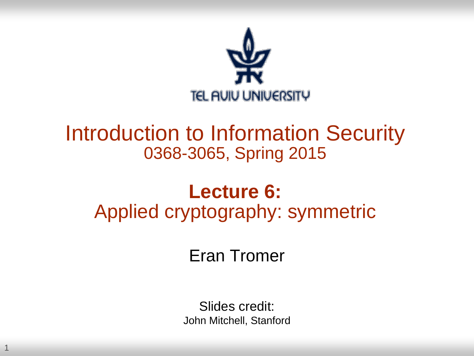

### Introduction to Information Security 0368-3065, Spring 2015

### **Lecture 6:** Applied cryptography: symmetric

Eran Tromer

Slides credit: John Mitchell, Stanford

1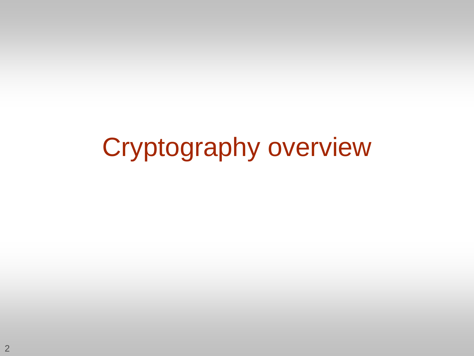# Cryptography overview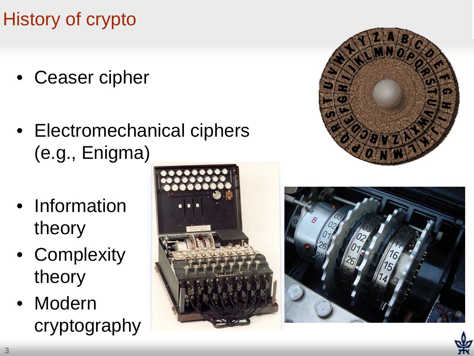### History of crypto

- Ceaser cipher
- Electromechanical ciphers (e.g., Enigma)
- Information theory
- Complexity theory
- Modern cryptography







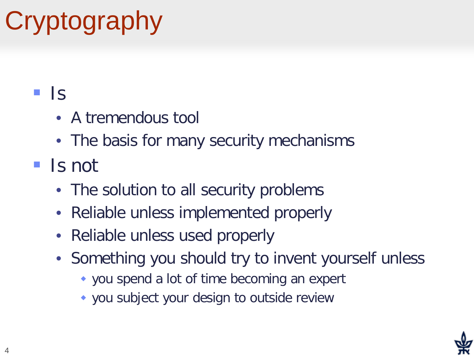# **Cryptography**

### $\blacksquare$   $\blacksquare$

- A tremendous tool
- The basis for many security mechanisms

### ■ Is not

- The solution to all security problems
- Reliable unless implemented properly
- Reliable unless used properly
- Something you should try to invent yourself unless
	- you spend a lot of time becoming an expert
	- you subject your design to outside review

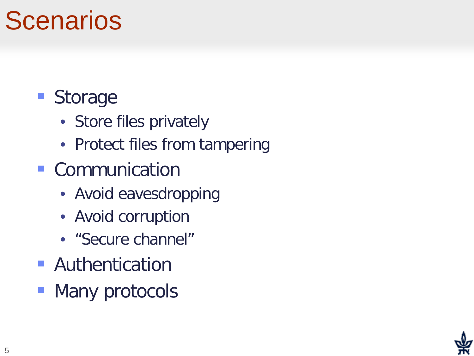# **Scenarios**

### **Storage**

- Store files privately
- Protect files from tampering
- **Communication** 
	- Avoid eavesdropping
	- Avoid corruption
	- "Secure channel"
- **Authentication**
- Many protocols

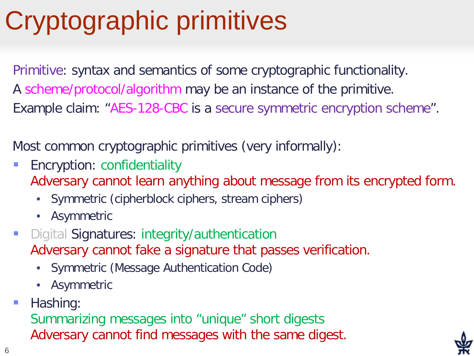# Cryptographic primitives

Primitive: syntax and semantics of some cryptographic functionality. A scheme/protocol/algorithm may be an instance of the primitive. Example claim: "AES-128-CBC is a secure symmetric encryption scheme".

Most common cryptographic primitives (very informally):

- **Encryption: confidentiality** Adversary cannot learn anything about message from its encrypted form.
	- Symmetric (cipherblock ciphers, stream ciphers)
	- Asymmetric
- Digital Signatures: integrity/authentication Adversary cannot fake a signature that passes verification.
	- Symmetric (Message Authentication Code)
	- Asymmetric
- **Hashing:**

Summarizing messages into "unique" short digests Adversary cannot find messages with the same digest.

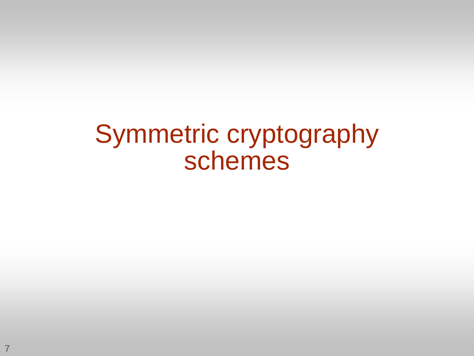## Symmetric cryptography schemes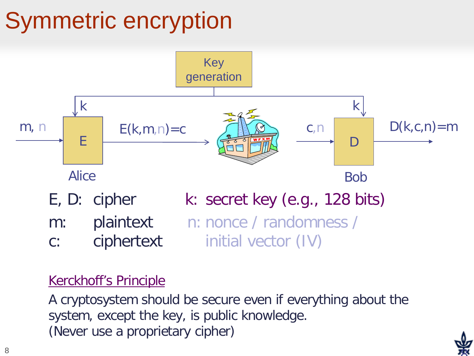# Symmetric encryption



#### Kerckhoff's Principle

A cryptosystem should be secure even if everything about the system, except the key, is public knowledge. (Never use a proprietary cipher)

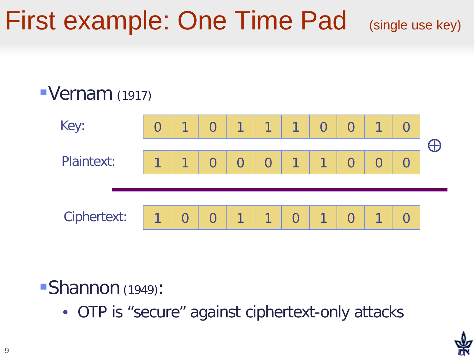# First example: One Time Pad (single use key)

### Vernam (1917)



#### Shannon (1949):

• OTP is "secure" against ciphertext-only attacks

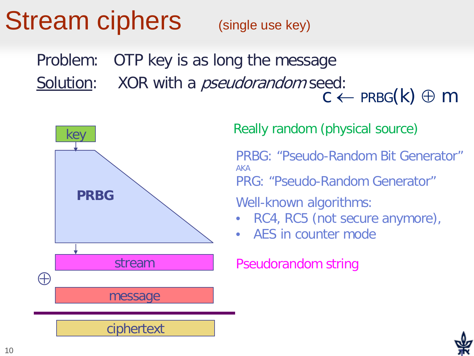# Stream ciphers (single use key)

Problem: OTP key is as long the message Solution: XOR with a *pseudorandom* seed:  $c \leftarrow$  PRBG(k)  $\oplus$  m



#### Really random (physical source)

PRBG: "Pseudo-Random Bit Generator" AKA

PRG: "Pseudo-Random Generator"

Well-known algorithms:

- RC4, RC5 (not secure anymore),
- AES in counter mode

Pseudorandom string

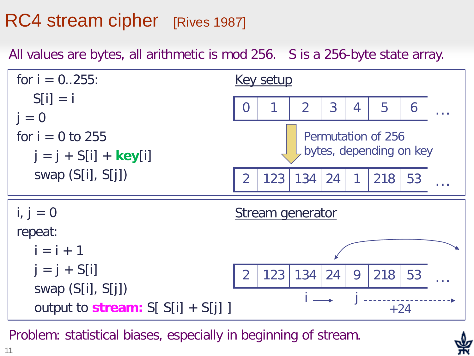### RC4 stream cipher [Rives 1987]

All values are bytes, all arithmetic is mod 256. S is a 256-byte state array.



Problem: statistical biases, especially in beginning of stream.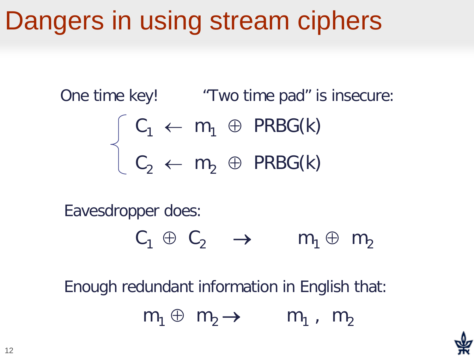# Dangers in using stream ciphers

One time key! "Two time pad" is insecure:

$$
\begin{cases} C_1 \leftarrow m_1 \oplus PRBG(k) \\ C_2 \leftarrow m_2 \oplus PRBG(k) \end{cases}
$$

Eavesdropper does:

$$
C_1 \oplus C_2 \quad \rightarrow \qquad m_1 \oplus m_2
$$

Enough redundant information in English that:

 $m_1 \oplus m_2 \rightarrow m_1$ ,  $m_2$ 

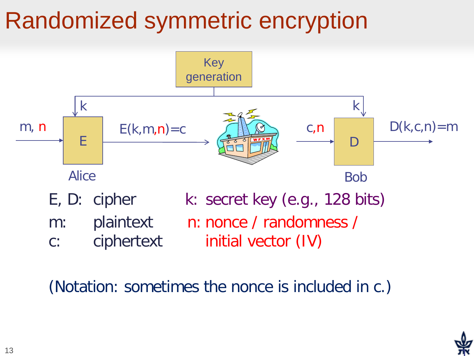## Randomized symmetric encryption



(Notation: sometimes the nonce is included in c.)

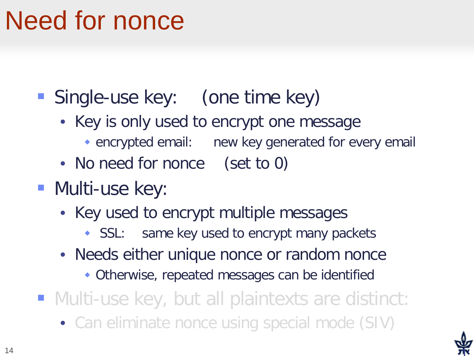# Need for nonce

**Single-use key:** (one time key)

- Key is only used to encrypt one message
	- encrypted email: new key generated for every email
- No need for nonce (set to 0)
- **Multi-use key:** 
	- Key used to encrypt multiple messages
		- SSL: same key used to encrypt many packets
	- Needs either unique nonce or random nonce
		- Otherwise, repeated messages can be identified

■ Multi-use key, but all plaintexts are distinct:

• Can eliminate nonce using special mode (SIV)

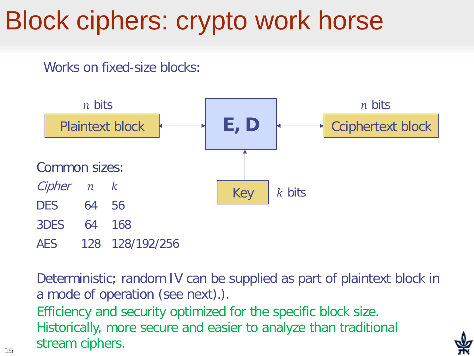# Block ciphers: crypto work horse

Works on fixed-size blocks:



Deterministic; random IV can be supplied as part of plaintext block in a mode of operation (see next).).

Efficiency and security optimized for the specific block size. Historically, more secure and easier to analyze than traditional stream ciphers.

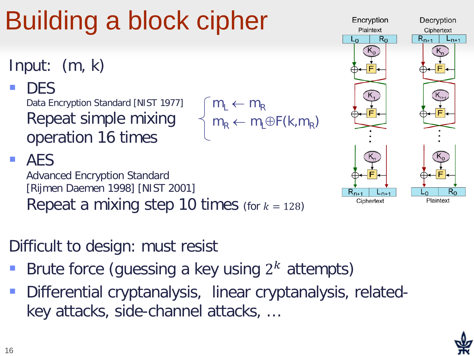# Building a block cipher

- Input: (m, k)
	- **DES** Data Encryption Standard [NIST 1977] Repeat simple mixing operation 16 times

#### **AES**

Advanced Encryption Standard [Rijmen Daemen 1998] [NIST 2001] Repeat a mixing step 10 times (for  $k = 128$ )

### Difficult to design: must resist

- Brute force (guessing a key using  $2<sup>k</sup>$  attempts)
- Differential cryptanalysis, linear cryptanalysis, relatedkey attacks, side-channel attacks, …

 $m_L \leftarrow m_R$ 

 $m_R \leftarrow m_L \oplus F(k, m_R)$ 

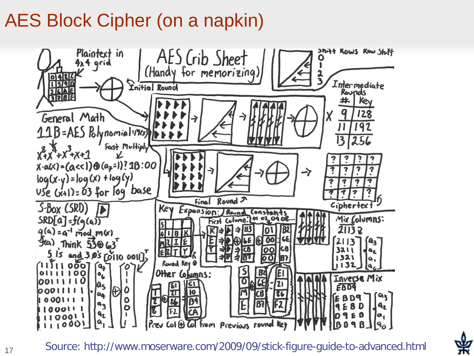### AES Block Cipher (on a napkin)

17



Source: http://www.moserware.com/2009/09/stick-figure-guide-to-advanced.html

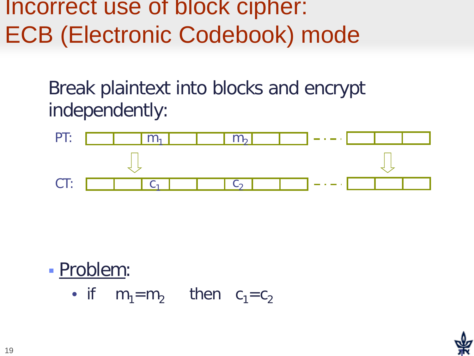### Incorrect use of block cipher: ECB (Electronic Codebook) mode

Break plaintext into blocks and encrypt independently:



 Problem: • if  $m_1=m_2$  then  $c_1=c_2$ 

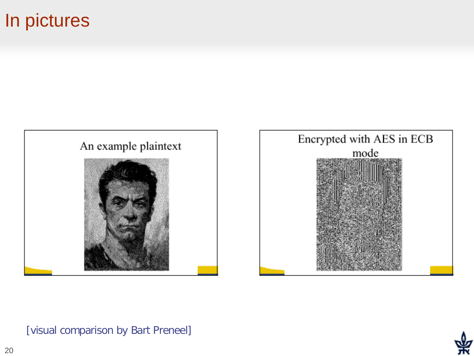#### In pictures



#### [visual comparison by Bart Preneel]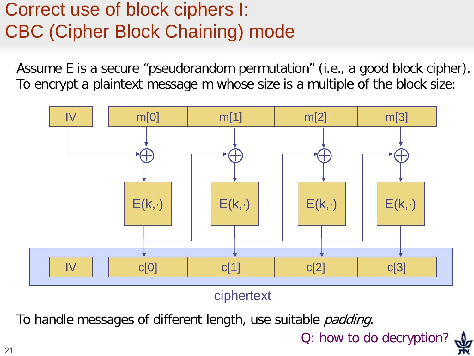### Correct use of block ciphers I: CBC (Cipher Block Chaining) mode

Assume E is a secure "pseudorandom permutation" (i.e., a good block cipher). To encrypt a plaintext message m whose size is a multiple of the block size:



ciphertext

To handle messages of different length, use suitable *padding*.

Q: how to do decryption?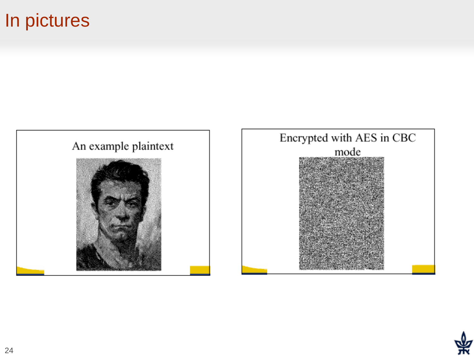### In pictures



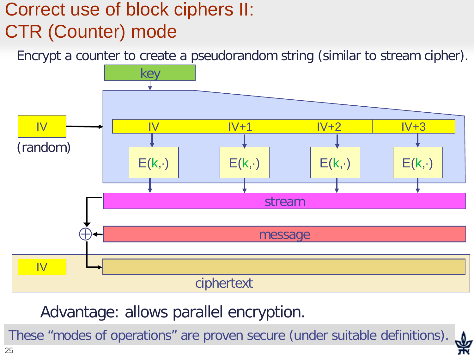### Correct use of block ciphers II: CTR (Counter) mode

Encrypt a counter to create a pseudorandom string (similar to stream cipher).



Advantage: allows parallel encryption.

These "modes of operations" are proven secure (under suitable definitions).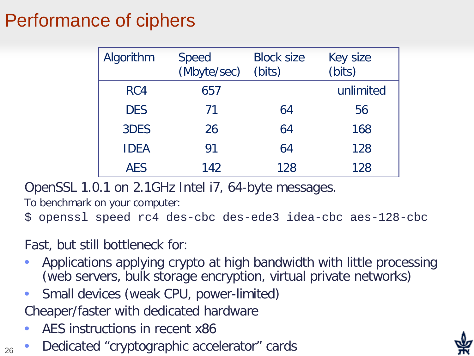### Performance of ciphers

| Algorithm   | <b>Speed</b><br>(Mbyte/sec) | <b>Block size</b><br>(bits) | <b>Key size</b><br>(bits) |
|-------------|-----------------------------|-----------------------------|---------------------------|
| RC4         | 657                         |                             | unlimited                 |
| <b>DES</b>  | 71                          | 64                          | 56                        |
| 3DES        | 26                          | 64                          | 168                       |
| <b>IDEA</b> | 91                          | 64                          | 128                       |
| <b>AES</b>  | 142                         | 128                         | 128                       |

OpenSSL 1.0.1 on 2.1GHz Intel i7, 64-byte messages.

To benchmark on your computer:

```
$ openssl speed rc4 des-cbc des-ede3 idea-cbc aes-128-cbc
```
Fast, but still bottleneck for:

- Applications applying crypto at high bandwidth with little processing (web servers, bulk storage encryption, virtual private networks)
- Small devices (weak CPU, power-limited)

Cheaper/faster with dedicated hardware

- AES instructions in recent x86
- Dedicated "cryptographic accelerator" cards

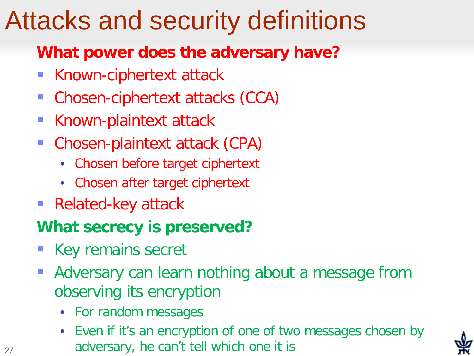# Attacks and security definitions

#### **What power does the adversary have?**

- Known-ciphertext attack
- Chosen-ciphertext attacks (CCA)
- Known-plaintext attack
- Chosen-plaintext attack (CPA)
	- Chosen before target ciphertext
	- Chosen after target ciphertext
- Related-key attack

#### **What secrecy is preserved?**

- Key remains secret
- Adversary can learn nothing about a message from observing its encryption
	- For random messages
	- Even if it's an encryption of one of two messages chosen by adversary, he can't tell which one it is

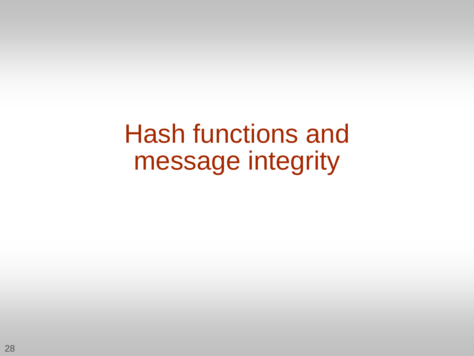Hash functions and message integrity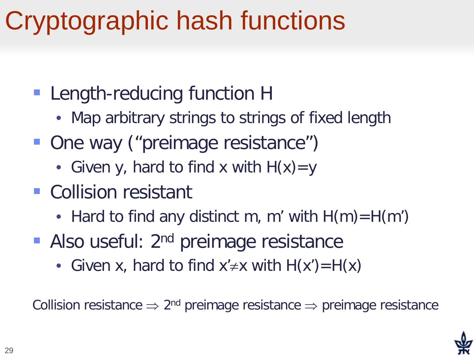# Cryptographic hash functions

- **Length-reducing function H** 
	- Map arbitrary strings to strings of fixed length
- One way ("preimage resistance")
	- Given y, hard to find x with  $H(x)=y$
- **Collision resistant** 
	- Hard to find any distinct m, m' with  $H(m)=H(m')$
- Also useful: 2<sup>nd</sup> preimage resistance
	- Given x, hard to find  $x' \neq x$  with  $H(x') = H(x)$

Collision resistance  $\Rightarrow$  2<sup>nd</sup> preimage resistance  $\Rightarrow$  preimage resistance

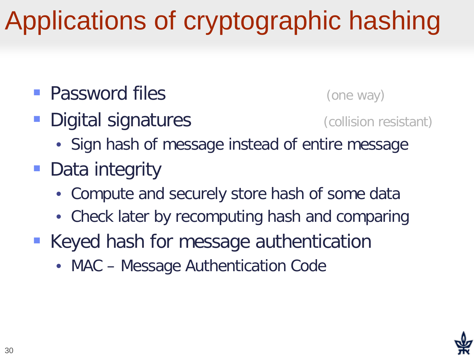# Applications of cryptographic hashing

- **Password files** (one way)
- **Digital signatures** (collision resistant)

- 
- Sign hash of message instead of entire message
- Data integrity
	- Compute and securely store hash of some data
	- Check later by recomputing hash and comparing
- Keyed hash for message authentication
	- MAC Message Authentication Code

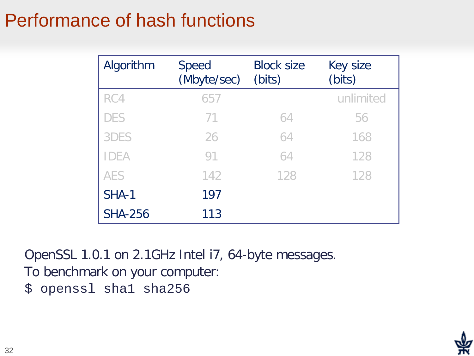### Performance of hash functions

| Algorithm      | <b>Speed</b><br>(Mbyte/sec) | <b>Block size</b><br>(bits) | Key size<br>(bits) |
|----------------|-----------------------------|-----------------------------|--------------------|
| RC4            | 657                         |                             | unlimited          |
| <b>DES</b>     | 71                          | 64                          | 56                 |
| 3DES           | 26                          | 64                          | 168                |
| <b>IDEA</b>    | 91                          | 64                          | 128                |
| <b>AES</b>     | 142                         | 128                         | 128                |
| SHA-1          | 197                         |                             |                    |
| <b>SHA-256</b> | 113                         |                             |                    |

OpenSSL 1.0.1 on 2.1GHz Intel i7, 64-byte messages.

To benchmark on your computer:

\$ openssl sha1 sha256

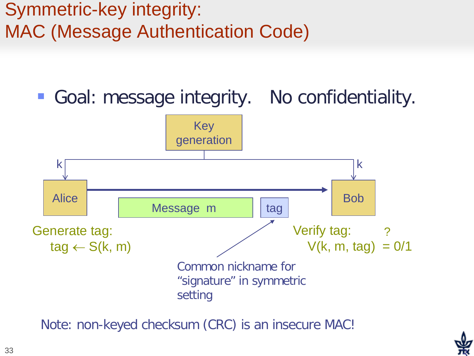### Symmetric-key integrity: MAC (Message Authentication Code)

■ Goal: message integrity. No confidentiality.



Note: non-keyed checksum (CRC) is an insecure MAC!

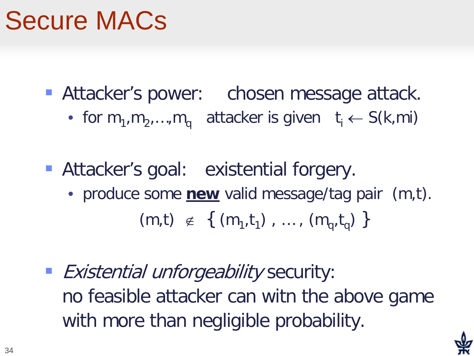# Secure MACs

- **Attacker's power:** chosen message attack.
	- for  $m_1, m_2, ..., m_q$  attacker is given  $t_i \leftarrow S(k,m_i)$
- **Attacker's goal: existential forgery.** 
	- produce some **new** valid message/tag pair (m,t).  $(m,t) \notin \{ (m_1,t_1), ..., (m_n,t_n) \}$
- **Existential unforgeability security:** no feasible attacker can witn the above game with more than negligible probability.

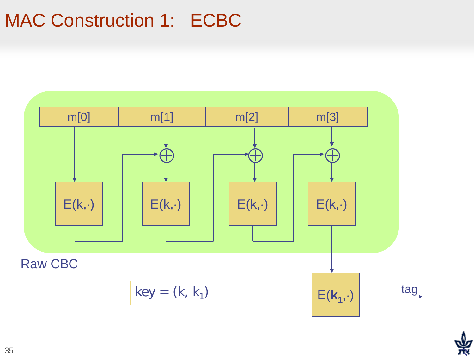### MAC Construction 1: ECBC